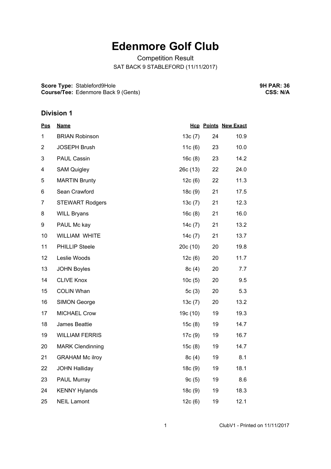## **Edenmore Golf Club**

Competition Result SAT BACK 9 STABLEFORD (11/11/2017)

**Score Type:** Stableford9Hole **Course/Tee:** Edenmore Back 9 (Gents) **9H PAR: 36 CSS: N/A**

## **Division 1**

| <u>Pos</u>     | <b>Name</b>             |           |    | <b>Hcp Points New Exact</b> |
|----------------|-------------------------|-----------|----|-----------------------------|
| $\mathbf{1}$   | <b>BRIAN Robinson</b>   | 13c(7)    | 24 | 10.9                        |
| $\overline{2}$ | <b>JOSEPH Brush</b>     | 11c(6)    | 23 | 10.0                        |
| 3              | PAUL Cassin             | 16c(8)    | 23 | 14.2                        |
| 4              | <b>SAM Quigley</b>      | 26c(13)   | 22 | 24.0                        |
| 5              | <b>MARTIN Brunty</b>    | 12c(6)    | 22 | 11.3                        |
| 6              | Sean Crawford           | 18c(9)    | 21 | 17.5                        |
| $\overline{7}$ | <b>STEWART Rodgers</b>  | 13c(7)    | 21 | 12.3                        |
| 8              | <b>WILL Bryans</b>      | 16c(8)    | 21 | 16.0                        |
| 9              | PAUL Mc kay             | 14c $(7)$ | 21 | 13.2                        |
| 10             | WILLIAM WHITE           | 14 $c(7)$ | 21 | 13.7                        |
| 11             | <b>PHILLIP Steele</b>   | 20c(10)   | 20 | 19.8                        |
| 12             | Leslie Woods            | 12c(6)    | 20 | 11.7                        |
| 13             | <b>JOHN Boyles</b>      | 8c(4)     | 20 | 7.7                         |
| 14             | <b>CLIVE Knox</b>       | 10c(5)    | 20 | 9.5                         |
| 15             | <b>COLIN Whan</b>       | 5 $c(3)$  | 20 | 5.3                         |
| 16             | <b>SIMON George</b>     | 13c(7)    | 20 | 13.2                        |
| 17             | <b>MICHAEL Crow</b>     | 19c (10)  | 19 | 19.3                        |
| 18             | James Beattie           | 15c(8)    | 19 | 14.7                        |
| 19             | <b>WILLIAM FERRIS</b>   | 17c(9)    | 19 | 16.7                        |
| 20             | <b>MARK Clendinning</b> | 15c(8)    | 19 | 14.7                        |
| 21             | <b>GRAHAM Mc ilroy</b>  | 8c(4)     | 19 | 8.1                         |
| 22             | <b>JOHN Halliday</b>    | 18c(9)    | 19 | 18.1                        |
| 23             | PAUL Murray             | 9c(5)     | 19 | 8.6                         |
| 24             | <b>KENNY Hylands</b>    | 18c(9)    | 19 | 18.3                        |
| 25             | <b>NEIL Lamont</b>      | 12c(6)    | 19 | 12.1                        |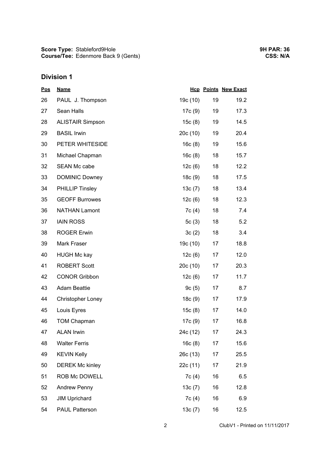**Score Type: Course/Tee:** Stableford9Hole Edenmore Back 9 (Gents)

## **Division 1**

| <u>Pos</u> | <b>Name</b>              |          |    | <b>Hcp Points New Exact</b> |
|------------|--------------------------|----------|----|-----------------------------|
| 26         | PAUL J. Thompson         | 19c (10) | 19 | 19.2                        |
| 27         | Sean Halls               | 17c (9)  | 19 | 17.3                        |
| 28         | <b>ALISTAIR Simpson</b>  | 15c(8)   | 19 | 14.5                        |
| 29         | <b>BASIL Irwin</b>       | 20c (10) | 19 | 20.4                        |
| 30         | PETER WHITESIDE          | 16c(8)   | 19 | 15.6                        |
| 31         | Michael Chapman          | 16c(8)   | 18 | 15.7                        |
| 32         | <b>SEAN Mc cabe</b>      | 12c(6)   | 18 | 12.2                        |
| 33         | <b>DOMINIC Downey</b>    | 18c(9)   | 18 | 17.5                        |
| 34         | <b>PHILLIP Tinsley</b>   | 13c(7)   | 18 | 13.4                        |
| 35         | <b>GEOFF Burrowes</b>    | 12c(6)   | 18 | 12.3                        |
| 36         | <b>NATHAN Lamont</b>     | 7c (4)   | 18 | 7.4                         |
| 37         | <b>IAIN ROSS</b>         | 5c(3)    | 18 | 5.2                         |
| 38         | <b>ROGER Erwin</b>       | 3c(2)    | 18 | 3.4                         |
| 39         | Mark Fraser              | 19c (10) | 17 | 18.8                        |
| 40         | <b>HUGH Mc kay</b>       | 12c(6)   | 17 | 12.0                        |
| 41         | <b>ROBERT Scott</b>      | 20c (10) | 17 | 20.3                        |
| 42         | <b>CONOR Gribbon</b>     | 12c(6)   | 17 | 11.7                        |
| 43         | <b>Adam Beattie</b>      | 9c(5)    | 17 | 8.7                         |
| 44         | <b>Christopher Loney</b> | 18c(9)   | 17 | 17.9                        |
| 45         | Louis Eyres              | 15c(8)   | 17 | 14.0                        |
| 46         | <b>TOM Chapman</b>       | 17c (9)  | 17 | 16.8                        |
| 47         | <b>ALAN Irwin</b>        | 24c (12) | 17 | 24.3                        |
| 48         | <b>Walter Ferris</b>     | 16c(8)   | 17 | 15.6                        |
| 49         | <b>KEVIN Kelly</b>       | 26c(13)  | 17 | 25.5                        |
| 50         | <b>DEREK Mc kinley</b>   | 22c (11) | 17 | 21.9                        |
| 51         | ROB Mc DOWELL            | 7c(4)    | 16 | 6.5                         |
| 52         | Andrew Penny             | 13c(7)   | 16 | 12.8                        |
| 53         | <b>JIM Uprichard</b>     | 7c(4)    | 16 | 6.9                         |
| 54         | <b>PAUL Patterson</b>    | 13c(7)   | 16 | 12.5                        |